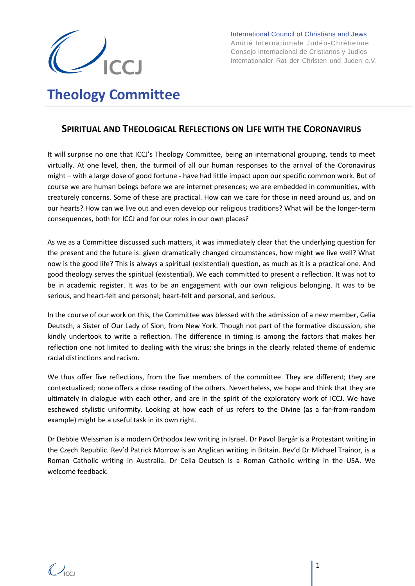

**Theology Committee**

International Council of Christians and Jews Amitié Internationale Judéo-Chrétienne Consejo Internacional de Cristianos y Judios Internationaler Rat der Christen und Juden e.V.

# **SPIRITUAL AND THEOLOGICAL REFLECTIONS ON LIFE WITH THE CORONAVIRUS**

It will surprise no one that ICCJ's Theology Committee, being an international grouping, tends to meet virtually. At one level, then, the turmoil of all our human responses to the arrival of the Coronavirus might – with a large dose of good fortune - have had little impact upon our specific common work. But of course we are human beings before we are internet presences; we are embedded in communities, with creaturely concerns. Some of these are practical. How can we care for those in need around us, and on our hearts? How can we live out and even develop our religious traditions? What will be the longer-term consequences, both for ICCJ and for our roles in our own places?

As we as a Committee discussed such matters, it was immediately clear that the underlying question for the present and the future is: given dramatically changed circumstances, how might we live well? What now is the good life? This is always a spiritual (existential) question, as much as it is a practical one. And good theology serves the spiritual (existential). We each committed to present a reflection. It was not to be in academic register. It was to be an engagement with our own religious belonging. It was to be serious, and heart-felt and personal; heart-felt and personal, and serious.

In the course of our work on this, the Committee was blessed with the admission of a new member, Celia Deutsch, a Sister of Our Lady of Sion, from New York. Though not part of the formative discussion, she kindly undertook to write a reflection. The difference in timing is among the factors that makes her reflection one not limited to dealing with the virus; she brings in the clearly related theme of endemic racial distinctions and racism.

We thus offer five reflections, from the five members of the committee. They are different; they are contextualized; none offers a close reading of the others. Nevertheless, we hope and think that they are ultimately in dialogue with each other, and are in the spirit of the exploratory work of ICCJ. We have eschewed stylistic uniformity. Looking at how each of us refers to the Divine (as a far-from-random example) might be a useful task in its own right.

Dr Debbie Weissman is a modern Orthodox Jew writing in Israel. Dr Pavol Bargár is a Protestant writing in the Czech Republic. Rev'd Patrick Morrow is an Anglican writing in Britain. Rev'd Dr Michael Trainor, is a Roman Catholic writing in Australia. Dr Celia Deutsch is a Roman Catholic writing in the USA. We welcome feedback.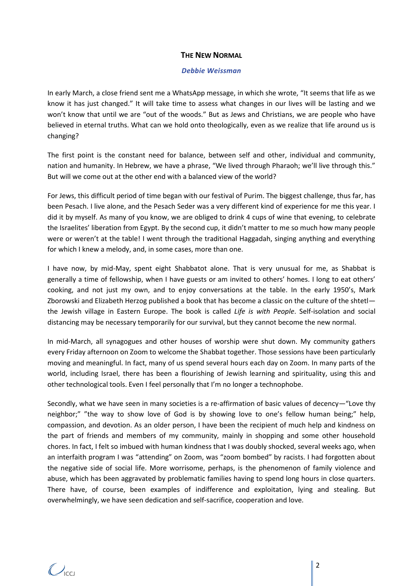## **THE NEW NORMAL**

#### *Debbie Weissman*

In early March, a close friend sent me a WhatsApp message, in which she wrote, "It seems that life as we know it has just changed." It will take time to assess what changes in our lives will be lasting and we won't know that until we are "out of the woods." But as Jews and Christians, we are people who have believed in eternal truths. What can we hold onto theologically, even as we realize that life around us is changing?

The first point is the constant need for balance, between self and other, individual and community, nation and humanity. In Hebrew, we have a phrase, "We lived through Pharaoh; we'll live through this." But will we come out at the other end with a balanced view of the world?

For Jews, this difficult period of time began with our festival of Purim. The biggest challenge, thus far, has been Pesach. I live alone, and the Pesach Seder was a very different kind of experience for me this year. I did it by myself. As many of you know, we are obliged to drink 4 cups of wine that evening, to celebrate the Israelites' liberation from Egypt. By the second cup, it didn't matter to me so much how many people were or weren't at the table! I went through the traditional Haggadah, singing anything and everything for which I knew a melody, and, in some cases, more than one.

I have now, by mid-May, spent eight Shabbatot alone. That is very unusual for me, as Shabbat is generally a time of fellowship, when I have guests or am invited to others' homes. I long to eat others' cooking, and not just my own, and to enjoy conversations at the table. In the early 1950's, Mark Zborowski and Elizabeth Herzog published a book that has become a classic on the culture of the shtetl the Jewish village in Eastern Europe. The book is called *Life is with People*. Self-isolation and social distancing may be necessary temporarily for our survival, but they cannot become the new normal.

In mid-March, all synagogues and other houses of worship were shut down. My community gathers every Friday afternoon on Zoom to welcome the Shabbat together. Those sessions have been particularly moving and meaningful. In fact, many of us spend several hours each day on Zoom. In many parts of the world, including Israel, there has been a flourishing of Jewish learning and spirituality, using this and other technological tools. Even I feel personally that I'm no longer a technophobe.

Secondly, what we have seen in many societies is a re-affirmation of basic values of decency—"Love thy neighbor;" "the way to show love of God is by showing love to one's fellow human being;" help, compassion, and devotion. As an older person, I have been the recipient of much help and kindness on the part of friends and members of my community, mainly in shopping and some other household chores. In fact, I felt so imbued with human kindness that I was doubly shocked, several weeks ago, when an interfaith program I was "attending" on Zoom, was "zoom bombed" by racists. I had forgotten about the negative side of social life. More worrisome, perhaps, is the phenomenon of family violence and abuse, which has been aggravated by problematic families having to spend long hours in close quarters. There have, of course, been examples of indifference and exploitation, lying and stealing. But overwhelmingly, we have seen dedication and self-sacrifice, cooperation and love.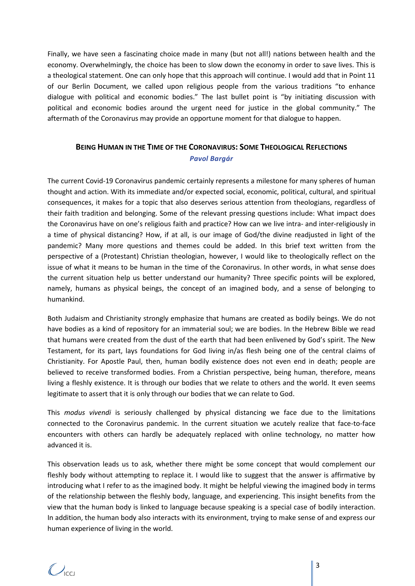Finally, we have seen a fascinating choice made in many (but not all!) nations between health and the economy. Overwhelmingly, the choice has been to slow down the economy in order to save lives. This is a theological statement. One can only hope that this approach will continue. I would add that in Point 11 of our Berlin Document, we called upon religious people from the various traditions "to enhance dialogue with political and economic bodies." The last bullet point is "by initiating discussion with political and economic bodies around the urgent need for justice in the global community." The aftermath of the Coronavirus may provide an opportune moment for that dialogue to happen.

# **BEING HUMAN IN THE TIME OF THE CORONAVIRUS: SOME THEOLOGICAL REFLECTIONS** *Pavol Bargár*

The current Covid-19 Coronavirus pandemic certainly represents a milestone for many spheres of human thought and action. With its immediate and/or expected social, economic, political, cultural, and spiritual consequences, it makes for a topic that also deserves serious attention from theologians, regardless of their faith tradition and belonging. Some of the relevant pressing questions include: What impact does the Coronavirus have on one's religious faith and practice? How can we live intra- and inter-religiously in a time of physical distancing? How, if at all, is our image of God/the divine readjusted in light of the pandemic? Many more questions and themes could be added. In this brief text written from the perspective of a (Protestant) Christian theologian, however, I would like to theologically reflect on the issue of what it means to be human in the time of the Coronavirus. In other words, in what sense does the current situation help us better understand our humanity? Three specific points will be explored, namely, humans as physical beings, the concept of an imagined body, and a sense of belonging to humankind.

Both Judaism and Christianity strongly emphasize that humans are created as bodily beings. We do not have bodies as a kind of repository for an immaterial soul; we are bodies. In the Hebrew Bible we read that humans were created from the dust of the earth that had been enlivened by God's spirit. The New Testament, for its part, lays foundations for God living in/as flesh being one of the central claims of Christianity. For Apostle Paul, then, human bodily existence does not even end in death; people are believed to receive transformed bodies. From a Christian perspective, being human, therefore, means living a fleshly existence. It is through our bodies that we relate to others and the world. It even seems legitimate to assert that it is only through our bodies that we can relate to God.

This *modus vivendi* is seriously challenged by physical distancing we face due to the limitations connected to the Coronavirus pandemic. In the current situation we acutely realize that face-to-face encounters with others can hardly be adequately replaced with online technology, no matter how advanced it is.

This observation leads us to ask, whether there might be some concept that would complement our fleshly body without attempting to replace it. I would like to suggest that the answer is affirmative by introducing what I refer to as the imagined body. It might be helpful viewing the imagined body in terms of the relationship between the fleshly body, language, and experiencing. This insight benefits from the view that the human body is linked to language because speaking is a special case of bodily interaction. In addition, the human body also interacts with its environment, trying to make sense of and express our human experience of living in the world.

 $\bigcup_{\mathsf{ICCI}}$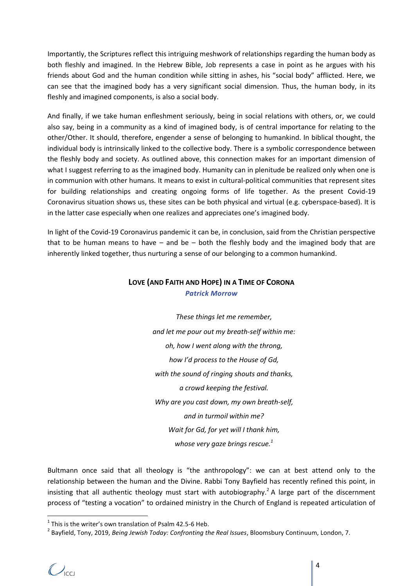Importantly, the Scriptures reflect this intriguing meshwork of relationships regarding the human body as both fleshly and imagined. In the Hebrew Bible, Job represents a case in point as he argues with his friends about God and the human condition while sitting in ashes, his "social body" afflicted. Here, we can see that the imagined body has a very significant social dimension. Thus, the human body, in its fleshly and imagined components, is also a social body.

And finally, if we take human enfleshment seriously, being in social relations with others, or, we could also say, being in a community as a kind of imagined body, is of central importance for relating to the other/Other. It should, therefore, engender a sense of belonging to humankind. In biblical thought, the individual body is intrinsically linked to the collective body. There is a symbolic correspondence between the fleshly body and society. As outlined above, this connection makes for an important dimension of what I suggest referring to as the imagined body. Humanity can in plenitude be realized only when one is in communion with other humans. It means to exist in cultural-political communities that represent sites for building relationships and creating ongoing forms of life together. As the present Covid-19 Coronavirus situation shows us, these sites can be both physical and virtual (e.g. cyberspace-based). It is in the latter case especially when one realizes and appreciates one's imagined body.

In light of the Covid-19 Coronavirus pandemic it can be, in conclusion, said from the Christian perspective that to be human means to have  $-$  and be  $-$  both the fleshly body and the imagined body that are inherently linked together, thus nurturing a sense of our belonging to a common humankind.

## **LOVE (AND FAITH AND HOPE) IN A TIME OF CORONA** *Patrick Morrow*

*These things let me remember, and let me pour out my breath-self within me: oh, how I went along with the throng, how I'd process to the House of Gd, with the sound of ringing shouts and thanks, a crowd keeping the festival. Why are you cast down, my own breath-self, and in turmoil within me? Wait for Gd, for yet will I thank him, whose very gaze brings rescue.<sup>1</sup>*

Bultmann once said that all theology is "the anthropology": we can at best attend only to the relationship between the human and the Divine. Rabbi Tony Bayfield has recently refined this point, in insisting that all authentic theology must start with autobiography.<sup>2</sup> A large part of the discernment process of "testing a vocation" to ordained ministry in the Church of England is repeated articulation of

 $\bigcup_{\mathsf{ICCI}}$ 

 $\overline{a}$ 

 $<sup>1</sup>$  This is the writer's own translation of Psalm 42.5-6 Heb.</sup>

<sup>2</sup> Bayfield, Tony, 2019, *Being Jewish Today: Confronting the Real Issues*, Bloomsbury Continuum, London, 7.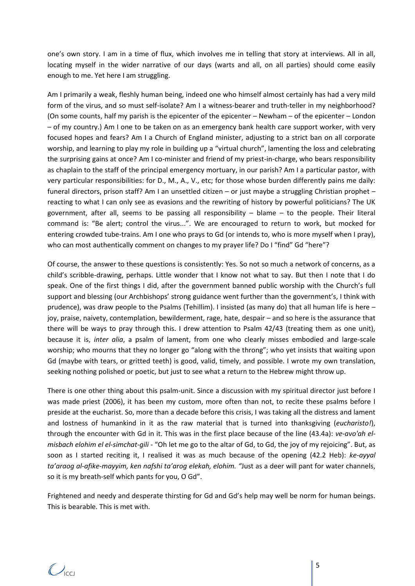one's own story. I am in a time of flux, which involves me in telling that story at interviews. All in all, locating myself in the wider narrative of our days (warts and all, on all parties) should come easily enough to me. Yet here I am struggling.

Am I primarily a weak, fleshly human being, indeed one who himself almost certainly has had a very mild form of the virus, and so must self-isolate? Am I a witness-bearer and truth-teller in my neighborhood? (On some counts, half my parish is the epicenter of the epicenter – Newham – of the epicenter – London – of my country.) Am I one to be taken on as an emergency bank health care support worker, with very focused hopes and fears? Am I a Church of England minister, adjusting to a strict ban on all corporate worship, and learning to play my role in building up a "virtual church", lamenting the loss and celebrating the surprising gains at once? Am I co-minister and friend of my priest-in-charge, who bears responsibility as chaplain to the staff of the principal emergency mortuary, in our parish? Am I a particular pastor, with very particular responsibilities: for D., M., A., V., etc; for those whose burden differently pains me daily: funeral directors, prison staff? Am I an unsettled citizen – or just maybe a struggling Christian prophet – reacting to what I can only see as evasions and the rewriting of history by powerful politicians? The UK government, after all, seems to be passing all responsibility – blame – to the people. Their literal command is: "Be alert; control the virus...". We are encouraged to return to work, but mocked for entering crowded tube-trains. Am I one who prays to Gd (or intends to, who is more myself when I pray), who can most authentically comment on changes to my prayer life? Do I "find" Gd "here"?

Of course, the answer to these questions is consistently: Yes. So not so much a network of concerns, as a child's scribble-drawing, perhaps. Little wonder that I know not what to say. But then I note that I do speak. One of the first things I did, after the government banned public worship with the Church's full support and blessing (our Archbishops' strong guidance went further than the government's, I think with prudence), was draw people to the Psalms (Tehillim). I insisted (as many do) that all human life is here – joy, praise, naivety, contemplation, bewilderment, rage, hate, despair – and so here is the assurance that there will be ways to pray through this. I drew attention to Psalm 42/43 (treating them as one unit), because it is, *inter alia*, a psalm of lament, from one who clearly misses embodied and large-scale worship; who mourns that they no longer go "along with the throng"; who yet insists that waiting upon Gd (maybe with tears, or gritted teeth) is good, valid, timely, and possible. I wrote my own translation, seeking nothing polished or poetic, but just to see what a return to the Hebrew might throw up.

There is one other thing about this psalm-unit. Since a discussion with my spiritual director just before I was made priest (2006), it has been my custom, more often than not, to recite these psalms before I preside at the eucharist. So, more than a decade before this crisis, I was taking all the distress and lament and lostness of humankind in it as the raw material that is turned into thanksgiving (*eucharisto!*), through the encounter with Gd in it. This was in the first place because of the line (43.4a): *ve-avo'ah elmisbach elohim el el-simchat-gili* - "Oh let me go to the altar of Gd, to Gd, the joy of my rejoicing". But, as soon as I started reciting it, I realised it was as much because of the opening (42.2 Heb): *ke-ayyal ta'araog al-afike-mayyim, ken nafshi ta'arog elekah, elohim. "*Just as a deer will pant for water channels, so it is my breath-self which pants for you, O Gd".

Frightened and needy and desperate thirsting for Gd and Gd's help may well be norm for human beings. This is bearable. This is met with.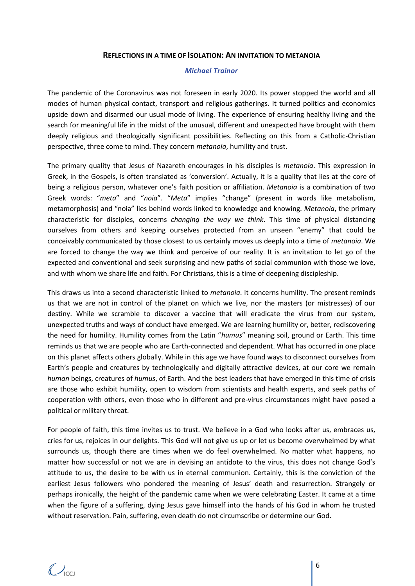### **REFLECTIONS IN A TIME OF ISOLATION: AN INVITATION TO METANOIA**

#### *Michael Trainor*

The pandemic of the Coronavirus was not foreseen in early 2020. Its power stopped the world and all modes of human physical contact, transport and religious gatherings. It turned politics and economics upside down and disarmed our usual mode of living. The experience of ensuring healthy living and the search for meaningful life in the midst of the unusual, different and unexpected have brought with them deeply religious and theologically significant possibilities. Reflecting on this from a Catholic-Christian perspective, three come to mind. They concern *metanoia*, humility and trust.

The primary quality that Jesus of Nazareth encourages in his disciples is *metanoia*. This expression in Greek, in the Gospels, is often translated as 'conversion'. Actually, it is a quality that lies at the core of being a religious person, whatever one's faith position or affiliation. *Metanoia* is a combination of two Greek words: "*meta*" and "*noia*". "*Meta*" implies "change" (present in words like metabolism, metamorphosis) and "noia" lies behind words linked to knowledge and knowing. *Metanoia*, the primary characteristic for disciples, concerns *changing the way we think*. This time of physical distancing ourselves from others and keeping ourselves protected from an unseen "enemy" that could be conceivably communicated by those closest to us certainly moves us deeply into a time of *metanoia*. We are forced to change the way we think and perceive of our reality. It is an invitation to let go of the expected and conventional and seek surprising and new paths of social communion with those we love, and with whom we share life and faith. For Christians, this is a time of deepening discipleship.

This draws us into a second characteristic linked to *metanoia*. It concerns humility. The present reminds us that we are not in control of the planet on which we live, nor the masters (or mistresses) of our destiny. While we scramble to discover a vaccine that will eradicate the virus from our system, unexpected truths and ways of conduct have emerged. We are learning humility or, better, rediscovering the need for humility. Humility comes from the Latin "*humus*" meaning soil, ground or Earth. This time reminds us that we are people who are Earth-connected and dependent. What has occurred in one place on this planet affects others globally. While in this age we have found ways to disconnect ourselves from Earth's people and creatures by technologically and digitally attractive devices, at our core we remain *human* beings, creatures of *humus*, of Earth. And the best leaders that have emerged in this time of crisis are those who exhibit humility, open to wisdom from scientists and health experts, and seek paths of cooperation with others, even those who in different and pre-virus circumstances might have posed a political or military threat.

For people of faith, this time invites us to trust. We believe in a God who looks after us, embraces us, cries for us, rejoices in our delights. This God will not give us up or let us become overwhelmed by what surrounds us, though there are times when we do feel overwhelmed. No matter what happens, no matter how successful or not we are in devising an antidote to the virus, this does not change God's attitude to us, the desire to be with us in eternal communion. Certainly, this is the conviction of the earliest Jesus followers who pondered the meaning of Jesus' death and resurrection. Strangely or perhaps ironically, the height of the pandemic came when we were celebrating Easter. It came at a time when the figure of a suffering, dying Jesus gave himself into the hands of his God in whom he trusted without reservation. Pain, suffering, even death do not circumscribe or determine our God.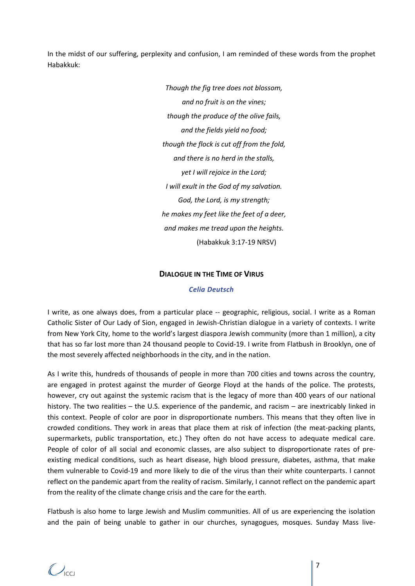In the midst of our suffering, perplexity and confusion, I am reminded of these words from the prophet Habakkuk:

> *Though the fig tree does not blossom, and no fruit is on the vines; though the produce of the olive fails, and the fields yield no food; though the flock is cut off from the fold, and there is no herd in the stalls, yet I will rejoice in the Lord; I will exult in the God of my salvation. God, the Lord, is my strength; he makes my feet like the feet of a deer, and makes me tread upon the heights.* (Habakkuk 3:17-19 NRSV)

### **DIALOGUE IN THE TIME OF VIRUS**

#### *Celia Deutsch*

I write, as one always does, from a particular place -- geographic, religious, social. I write as a Roman Catholic Sister of Our Lady of Sion, engaged in Jewish-Christian dialogue in a variety of contexts. I write from New York City, home to the world's largest diaspora Jewish community (more than 1 million), a city that has so far lost more than 24 thousand people to Covid-19. I write from Flatbush in Brooklyn, one of the most severely affected neighborhoods in the city, and in the nation.

As I write this, hundreds of thousands of people in more than 700 cities and towns across the country, are engaged in protest against the murder of George Floyd at the hands of the police. The protests, however, cry out against the systemic racism that is the legacy of more than 400 years of our national history. The two realities – the U.S. experience of the pandemic, and racism – are inextricably linked in this context. People of color are poor in disproportionate numbers. This means that they often live in crowded conditions. They work in areas that place them at risk of infection (the meat-packing plants, supermarkets, public transportation, etc.) They often do not have access to adequate medical care. People of color of all social and economic classes, are also subject to disproportionate rates of preexisting medical conditions, such as heart disease, high blood pressure, diabetes, asthma, that make them vulnerable to Covid-19 and more likely to die of the virus than their white counterparts. I cannot reflect on the pandemic apart from the reality of racism. Similarly, I cannot reflect on the pandemic apart from the reality of the climate change crisis and the care for the earth.

Flatbush is also home to large Jewish and Muslim communities. All of us are experiencing the isolation and the pain of being unable to gather in our churches, synagogues, mosques. Sunday Mass live-

 $\bigcup_{\mathsf{ICCJ}}$